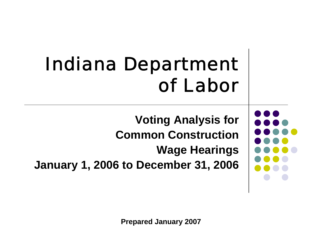## Indiana Department of Labor

**Voting Analysis for Common ConstructionWage Hearings**

**January 1, 2006 to December 31, 2006**

**Prepared January 2007**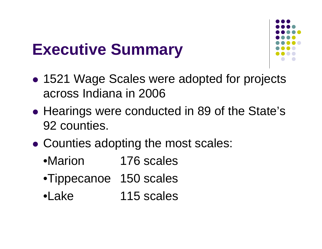### **Executive Summary**



- $\bullet$  1521 Wage Scales were adopted for projects across Indiana in 2006
- $\bullet$ • Hearings were conducted in 89 of the State's 92 counties.
- $\bullet$  Counties adopting the most scales:
	- •Marion 176 scales
	- •Tippecanoe 150 scales
	- •Lake 115 scales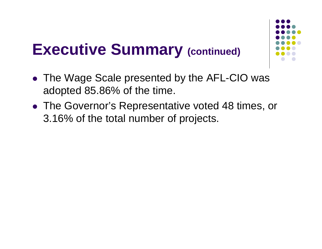#### **Executive Summary (continued)**



- The Wage Scale presented by the AFL-CIO was adopted 85.86% of the time.
- The Governor's Representative voted 48 times, or 3.16% of the total number of projects.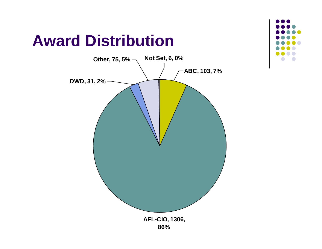#### **Award Distribution**



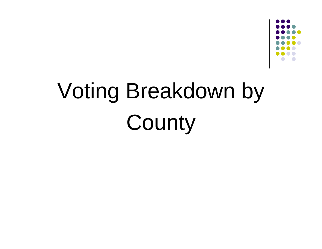

# Voting Breakdown by **County**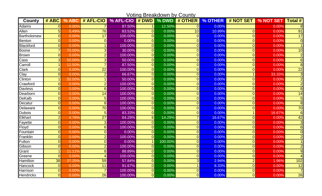| <b>Voting Breakdown by County</b> |                |        |                 |                             |                      |         |                |         |                |           |                 |
|-----------------------------------|----------------|--------|-----------------|-----------------------------|----------------------|---------|----------------|---------|----------------|-----------|-----------------|
| County                            | # ABC          | % ABC  | # AFL-CIO       | % AFL-CIO $\frac{1}{2}$ DWD |                      | % DWD   | # OTHER        | % OTHER | # NOT SET      | % NOT SET | <b>Total #</b>  |
| Adams                             | $\Omega$       | 0.00%  |                 | 87.50%                      |                      | 12.50%  | $\Omega$       | 0.00%   |                | 0.00%     | $\overline{8}$  |
| Allen                             | 5              | 5.49%  | 76              | 83.52%                      | $\overline{0}$       | 0.00%   | 10             | 10.99%  | $\overline{0}$ | 0.00%     | $\overline{91}$ |
| <b>Bartholomew</b>                | $\Omega$       | 0.00%  | 17              | 100.00%                     | $\overline{0}$       | 0.00%   | $\Omega$       | 0.00%   | $\overline{0}$ | 0.00%     | 17              |
| <b>Benton</b>                     | $\overline{0}$ | 0.00%  | $\overline{0}$  | 0.00%                       | $\overline{0}$       | 0.00%   | $\Omega$       | 0.00%   | $\overline{0}$ | 0.00%     | $\Omega$        |
| <b>Blackford</b>                  | $\Omega$       | 0.00%  |                 | 100.00%                     | $\overline{0}$       | 0.00%   | $\overline{O}$ | 0.00%   | $\overline{0}$ | 0.00%     |                 |
| Boone                             | $\overline{7}$ | 70.00% | 3               | 30.00%                      | $\overline{0}$       | 0.00%   | $\overline{0}$ | 0.00%   | $\overline{0}$ | 0.00%     | 10              |
| <b>Brown</b>                      | $\Omega$       | 0.00%  | $\overline{2}$  | 100.00%                     | $\Omega$             | 0.00%   | $\overline{O}$ | 0.00%   | $\overline{0}$ | 0.00%     | $\overline{2}$  |
| Cass                              | 3              | 50.00% | 3               | 50.00%                      | $\overline{0}$       | 0.00%   | 0              | 0.00%   | $\overline{0}$ | 0.00%     | 6               |
| Carroll                           | -1             | 12.50% | $\overline{7}$  | 87.50%                      | $\overline{0}$       | 0.00%   | $\overline{0}$ | 0.00%   | $\overline{0}$ | 0.00%     | 8               |
| Clark                             | $\overline{0}$ | 0.00%  | 22              | 100.00%                     | $\Omega$             | 0.00%   | $\Omega$       | 0.00%   | $\overline{0}$ | 0.00%     | $\overline{22}$ |
| Clay                              | $\Omega$       | 0.00%  | $\overline{2}$  | 66.67%                      | $\overline{0}$       | 0.00%   | $\overline{O}$ | 0.00%   | 1              | 33.33%    | 3               |
| Clinton                           | 1              | 50.00% |                 | 50.00%                      | $\overline{0}$       | 0.00%   | $\Omega$       | 0.00%   | $\overline{0}$ | 0.00%     | $\overline{2}$  |
| Crawford                          | $\Omega$       | 0.00%  | $\overline{2}$  | 100.00%                     | $\overline{0}$       | 0.00%   | $\overline{0}$ | 0.00%   | $\overline{0}$ | 0.00%     | $\overline{2}$  |
| <b>Davless</b>                    | $\Omega$       | 0.00%  | 6 <sup>1</sup>  | 100.00%                     | $\overline{0}$       | 0.00%   | $\overline{O}$ | 0.00%   | $\overline{0}$ | 0.00%     | 6               |
| Dearborn                          | $\Omega$       | 0.00%  | 14              | 100.00%                     | $\overline{0}$       | 0.00%   | $\overline{0}$ | 0.00%   | $\overline{0}$ | 0.00%     | 14              |
| <b>DeKalb</b>                     | $\Omega$       | 0.00%  | $5\phantom{1}$  | 100.00%                     | $\overline{0}$       | 0.00%   | $\overline{O}$ | 0.00%   | $\overline{0}$ | 0.00%     | 5               |
| Decatur                           | $\Omega$       | 0.00%  | 8               | 100.00%                     | $\overline{0}$       | 0.00%   | $\overline{0}$ | 0.00%   | $\overline{0}$ | 0.00%     | $\overline{8}$  |
| Delaware                          | $\Omega$       | 0.00%  | 70              | 100.00%                     | $\Omega$             | 0.00%   | $\overline{O}$ | 0.00%   | $\overline{0}$ | 0.00%     | $\overline{70}$ |
| <b>Dubois</b>                     | $\overline{0}$ | 0.00%  | $5\phantom{1}$  | 83.33%                      | $\Omega$             | 0.00%   | $\overline{O}$ | 0.00%   | 1              | 16.67%    | $6\phantom{1}6$ |
| Elkhart                           | $\overline{2}$ | 4.76%  | $\overline{27}$ | 64.29%                      | $6 \overline{6}$     | 14.29%  | $\overline{7}$ | 16.67%  | $\overline{0}$ | 0.00%     | $\overline{42}$ |
| Fayette                           | $\Omega$       | 0.00%  | 3               | 100.00%                     | $\Omega$             | 0.00%   | $\overline{0}$ | 0.00%   | $\overline{0}$ | 0.00%     |                 |
| Floyd                             | $\overline{0}$ | 0.00%  | $6\phantom{1}6$ | 100.00%                     | $\overline{0}$       | 0.00%   | $\Omega$       | 0.00%   | $\overline{0}$ | 0.00%     | 6               |
| Fountain                          | $\overline{0}$ | 0.00%  | $\overline{0}$  | 0.00%                       | $\overline{0}$       | 0.00%   | $\overline{0}$ | 0.00%   | $\overline{0}$ | 0.00%     |                 |
| Franklin                          | $\Omega$       | 0.00%  | $\overline{2}$  | 100.00%                     | $\Omega$             | 0.00%   | $\overline{0}$ | 0.00%   | $\overline{0}$ | 0.00%     |                 |
| Fulton                            | $\Omega$       | 0.00%  | $\Omega$        | 0.00%                       | $\blacktriangleleft$ | 100.00% | $\overline{O}$ | 0.00%   | $\overline{0}$ | 0.00%     |                 |
| Gibson                            | $\overline{0}$ | 0.00%  | $\overline{2}$  | 100.00%                     | $\overline{O}$       | 0.00%   | $\overline{0}$ | 0.00%   | $\overline{0}$ | 0.00%     | $\overline{2}$  |
| Grant                             | -1             | 11.11% | 8 <sup>1</sup>  | 88.89%                      | 0                    | 0.00%   | $\overline{O}$ | 0.00%   | $\overline{0}$ | 0.00%     | 9               |
| Greene                            | $\overline{0}$ | 0.00%  | $\overline{4}$  | 100.00%                     | $\overline{0}$       | 0.00%   | $\overline{0}$ | 0.00%   | $\overline{0}$ | 0.00%     | 4               |
| Hamilton                          | 38             | 37.25% | 59              | 57.84%                      | $\overline{0}$       | 0.00%   | 3              | 2.94%   | $\overline{2}$ | 1.96%     | 102             |
| Hancock                           | $\overline{0}$ | 0.00%  | 11              | 91.67%                      | $\overline{0}$       | 0.00%   |                | 8.33%   | $\overline{0}$ | 0.00%     | 12              |
| Harrison                          | $\Omega$       | 0.00%  | $\overline{7}$  | 100.00%                     | $\overline{0}$       | 0.00%   | $\Omega$       | 0.00%   | $\overline{0}$ | 0.00%     | $\overline{7}$  |
| <b>Hendricks</b>                  | $\overline{0}$ | 0.00%  | 26              | 100.00%                     | $\overline{0}$       | 0.00%   | $\overline{0}$ | 0.00%   | $\overline{0}$ | 0.00%     | $\overline{26}$ |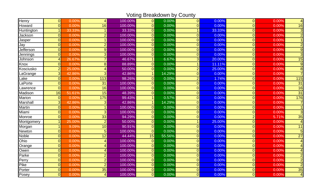Voting Breakdown by County

| Henry         | $\overline{O}$ | 0.00%  | $\vert$         | 100.00% | $\overline{0}$ | 0.00%  | $\overline{0}$ | 0.00%  | $\overline{0}$ | 0.00% | $\overline{4}$ |
|---------------|----------------|--------|-----------------|---------|----------------|--------|----------------|--------|----------------|-------|----------------|
| Howard        | $\overline{O}$ | 0.00%  | 16              | 100.00% | $\overline{0}$ | 0.00%  | 0              | 0.00%  | $\overline{0}$ | 0.00% | 16             |
| Huntington    | 1              | 33.33% |                 | 33.33%  | $\overline{0}$ | 0.00%  | $\mathbf{1}$   | 33.33% | $\overline{0}$ | 0.00% | $\overline{3}$ |
| Jackson       | $\overline{0}$ | 0.00%  | $\overline{2}$  | 100.00% | $\overline{0}$ | 0.00%  | $\overline{0}$ | 0.00%  | $\overline{0}$ | 0.00% | $\overline{2}$ |
| Jasper        | $\overline{0}$ | 0.00%  |                 | 100.00% | 0              | 0.00%  | 0              | 0.00%  | $\Omega$       | 0.00% |                |
| Jay           | $\overline{0}$ | 0.00%  | $\overline{2}$  | 100.00% | $\overline{0}$ | 0.00%  | $\overline{0}$ | 0.00%  | $\overline{0}$ | 0.00% | $\overline{2}$ |
| Jefferson     | 0              | 0.00%  | 9 <sub>l</sub>  | 100.00% | $\overline{0}$ | 0.00%  | 0              | 0.00%  | $\overline{0}$ | 0.00% | $\overline{9}$ |
| Jennings      | $\overline{0}$ | 0.00%  | 3               | 100.00% | $\overline{0}$ | 0.00%  | $\overline{0}$ | 0.00%  | $\Omega$       | 0.00% | 3              |
| Johnson       | $\overline{4}$ | 26.67% | 7               | 46.67%  | 1              | 6.67%  | 3 <sup>1</sup> | 20.00% | $\Omega$       | 0.00% | 15             |
| Knox          | $\overline{0}$ | 0.00%  | 8               | 88.89%  | $\overline{0}$ | 0.00%  | 1              | 11.11% | $\Omega$       | 0.00% | 9              |
| Kosciusko     | $\overline{2}$ | 25.00% | $\vert$         | 50.00%  | $\overline{0}$ | 0.00%  | $\overline{2}$ | 25.00% | $\overline{0}$ | 0.00% | 8              |
| _aGrange      | 3              | 42.86% | 3               | 42.86%  |                | 14.29% | $\overline{0}$ | 0.00%  | $\Omega$       | 0.00% |                |
| Lake          | $\overline{0}$ | 0.00%  | 113             | 98.26%  | $\overline{0}$ | 0.00%  | $\overline{2}$ | 1.74%  | $\Omega$       | 0.00% | 115            |
| LaPorte       | $\overline{0}$ | 0.00%  | $\overline{31}$ | 100.00% | $\overline{0}$ | 0.00%  | $\overline{0}$ | 0.00%  | $\overline{0}$ | 0.00% | 31             |
| _awrence      | $\overline{O}$ | 0.00%  | 16              | 100.00% | $\overline{0}$ | 0.00%  | 0              | 0.00%  | $\overline{0}$ | 0.00% | 16             |
| Madison       | 16             | 51.61% | 15              | 48.39%  | $\overline{0}$ | 0.00%  | $\overline{0}$ | 0.00%  | $\overline{0}$ | 0.00% | 31             |
| <b>Marion</b> | $\overline{0}$ | 0.00%  | 175             | 99.43%  | 1              | 0.57%  | 0              | 0.00%  | $\overline{0}$ | 0.00% | 176            |
| Marshall      | 3              | 42.86% | 3 <sub>l</sub>  | 42.86%  | $\mathbf{1}$   | 14.29% | $\overline{0}$ | 0.00%  | $\overline{0}$ | 0.00% |                |
| <b>Martin</b> | $\overline{0}$ | 0.00%  | 1               | 100.00% | $\overline{0}$ | 0.00%  | $\overline{O}$ | 0.00%  | $\overline{0}$ | 0.00% |                |
| Miami         | $\overline{0}$ | 0.00%  | 3               | 100.00% | $\overline{0}$ | 0.00%  | $\overline{0}$ | 0.00%  | $\overline{0}$ | 0.00% | 3              |
| Monroe        | $\overline{O}$ | 0.00%  | 33              | 94.29%  | $\overline{0}$ | 0.00%  | 0              | 0.00%  | $\overline{2}$ | 5.71% | 35             |
| Montgomery    | 1              | 25.00% | $\overline{2}$  | 50.00%  | $\overline{0}$ | 0.00%  | $\vert$        | 25.00% | $\overline{0}$ | 0.00% | 4              |
| Morgan        | 4              | 9.09%  | 10 <sup>1</sup> | 90.91%  | $\overline{0}$ | 0.00%  | $\overline{O}$ | 0.00%  | $\overline{0}$ | 0.00% | 11             |
| <b>Newton</b> | $\overline{0}$ | 0.00%  | 5               | 100.00% | $\overline{0}$ | 0.00%  | $\overline{O}$ | 0.00%  | $\overline{0}$ | 0.00% | 5              |
| <b>Noble</b>  | $\overline{0}$ | 0.00%  | 12              | 44.44%  | 15             | 55.56% | $\overline{0}$ | 0.00%  | $\overline{0}$ | 0.00% | 27             |
| Ohio          | $\overline{0}$ | 0.00%  |                 | 100.00% | 0              | 0.00%  | $\overline{0}$ | 0.00%  | $\overline{0}$ | 0.00% |                |
| Orange        | $\overline{0}$ | 0.00%  | 4               | 100.00% | $\overline{0}$ | 0.00%  | 0              | 0.00%  | $\overline{0}$ | 0.00% |                |
| Owen          | $\overline{0}$ | 0.00%  | Δ               | 100.00% | $\overline{0}$ | 0.00%  | $\overline{0}$ | 0.00%  | $\overline{0}$ | 0.00% |                |
| Parke         | $\overline{0}$ | 0.00%  | $\overline{2}$  | 100.00% | $\overline{0}$ | 0.00%  | $\overline{0}$ | 0.00%  | $\overline{0}$ | 0.00% | $\overline{2}$ |
| Perry         | $\overline{0}$ | 0.00%  | $\overline{2}$  | 100.00% | $\overline{0}$ | 0.00%  | $\overline{0}$ | 0.00%  | $\overline{0}$ | 0.00% | $\overline{2}$ |
| Pike          | $\overline{0}$ | 0.00%  | $\overline{2}$  | 100.00% | $\overline{0}$ | 0.00%  | $\overline{O}$ | 0.00%  | $\overline{0}$ | 0.00% | $\overline{2}$ |
| Porter        | $\overline{0}$ | 0.00%  | 35              | 100.00% | $\Omega$       | 0.00%  | $\overline{0}$ | 0.00%  | $\overline{0}$ | 0.00% | 35             |
| Posey         | $\overline{O}$ | 0.00%  |                 | 100.00% | $\overline{0}$ | 0.00%  | 0              | 0.00%  | $\overline{0}$ | 0.00% | $\overline{4}$ |